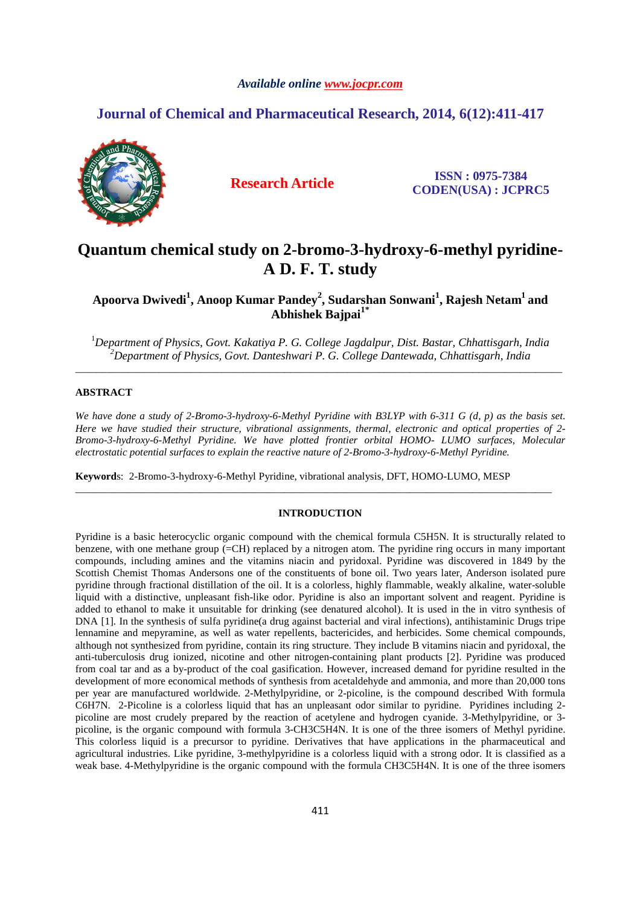#### *Available online www.jocpr.com*

## **Journal of Chemical and Pharmaceutical Research, 2014, 6(12):411-417**



**Research Article ISSN : 0975-7384 CODEN(USA) : JCPRC5**

# **Quantum chemical study on 2-bromo-3-hydroxy-6-methyl pyridine-A D. F. T. study**

**Apoorva Dwivedi<sup>1</sup> , Anoop Kumar Pandey<sup>2</sup> , Sudarshan Sonwani<sup>1</sup> , Rajesh Netam<sup>1</sup>and Abhishek Bajpai1\*** 

<sup>1</sup>*Department of Physics, Govt. Kakatiya P. G. College Jagdalpur, Dist. Bastar, Chhattisgarh, India <sup>2</sup>Department of Physics, Govt. Danteshwari P. G. College Dantewada, Chhattisgarh, India*  \_\_\_\_\_\_\_\_\_\_\_\_\_\_\_\_\_\_\_\_\_\_\_\_\_\_\_\_\_\_\_\_\_\_\_\_\_\_\_\_\_\_\_\_\_\_\_\_\_\_\_\_\_\_\_\_\_\_\_\_\_\_\_\_\_\_\_\_\_\_\_\_\_\_\_\_\_\_\_\_\_\_\_\_\_\_\_\_\_\_\_\_\_

#### **ABSTRACT**

*We have done a study of 2-Bromo-3-hydroxy-6-Methyl Pyridine with B3LYP with 6-311 G (d, p) as the basis set. Here we have studied their structure, vibrational assignments, thermal, electronic and optical properties of 2- Bromo-3-hydroxy-6-Methyl Pyridine. We have plotted frontier orbital HOMO- LUMO surfaces, Molecular electrostatic potential surfaces to explain the reactive nature of 2-Bromo-3-hydroxy-6-Methyl Pyridine.* 

**Keyword**s: 2-Bromo-3-hydroxy-6-Methyl Pyridine, vibrational analysis, DFT, HOMO-LUMO, MESP

#### **INTRODUCTION**

\_\_\_\_\_\_\_\_\_\_\_\_\_\_\_\_\_\_\_\_\_\_\_\_\_\_\_\_\_\_\_\_\_\_\_\_\_\_\_\_\_\_\_\_\_\_\_\_\_\_\_\_\_\_\_\_\_\_\_\_\_\_\_\_\_\_\_\_\_\_\_\_\_\_\_\_\_\_\_\_\_\_\_\_\_\_\_\_\_\_\_

Pyridine is a basic heterocyclic organic compound with the chemical formula C5H5N. It is structurally related to benzene, with one methane group (=CH) replaced by a nitrogen atom. The pyridine ring occurs in many important compounds, including amines and the vitamins niacin and pyridoxal. Pyridine was discovered in 1849 by the Scottish Chemist Thomas Andersons one of the constituents of bone oil. Two years later, Anderson isolated pure pyridine through fractional distillation of the oil. It is a colorless, highly flammable, weakly alkaline, water-soluble liquid with a distinctive, unpleasant fish-like odor. Pyridine is also an important solvent and reagent. Pyridine is added to ethanol to make it unsuitable for drinking (see denatured alcohol). It is used in the in vitro synthesis of DNA [1]. In the synthesis of sulfa pyridine(a drug against bacterial and viral infections), antihistaminic Drugs tripe lennamine and mepyramine, as well as water repellents, bactericides, and herbicides. Some chemical compounds, although not synthesized from pyridine, contain its ring structure. They include B vitamins niacin and pyridoxal, the anti-tuberculosis drug ionized, nicotine and other nitrogen-containing plant products [2]. Pyridine was produced from coal tar and as a by-product of the coal gasification. However, increased demand for pyridine resulted in the development of more economical methods of synthesis from acetaldehyde and ammonia, and more than 20,000 tons per year are manufactured worldwide. 2-Methylpyridine, or 2-picoline, is the compound described With formula C6H7N. 2-Picoline is a colorless liquid that has an unpleasant odor similar to pyridine. Pyridines including 2 picoline are most crudely prepared by the reaction of acetylene and hydrogen cyanide. 3-Methylpyridine, or 3 picoline, is the organic compound with formula 3-CH3C5H4N. It is one of the three isomers of Methyl pyridine. This colorless liquid is a precursor to pyridine. Derivatives that have applications in the pharmaceutical and agricultural industries. Like pyridine, 3-methylpyridine is a colorless liquid with a strong odor. It is classified as a weak base. 4-Methylpyridine is the organic compound with the formula CH3C5H4N. It is one of the three isomers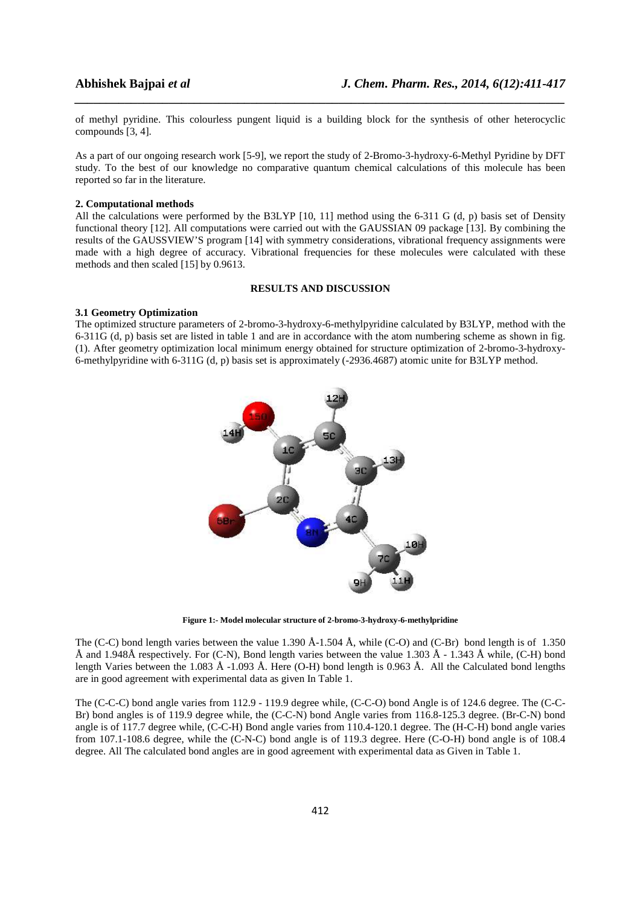of methyl pyridine. This colourless pungent liquid is a building block for the synthesis of other heterocyclic compounds [3, 4].

*\_\_\_\_\_\_\_\_\_\_\_\_\_\_\_\_\_\_\_\_\_\_\_\_\_\_\_\_\_\_\_\_\_\_\_\_\_\_\_\_\_\_\_\_\_\_\_\_\_\_\_\_\_\_\_\_\_\_\_\_\_\_\_\_\_\_\_\_\_\_\_\_\_\_\_\_\_\_*

As a part of our ongoing research work [5-9], we report the study of 2-Bromo-3-hydroxy-6-Methyl Pyridine by DFT study. To the best of our knowledge no comparative quantum chemical calculations of this molecule has been reported so far in the literature.

#### **2. Computational methods**

All the calculations were performed by the B3LYP [10, 11] method using the 6-311 G (d, p) basis set of Density functional theory [12]. All computations were carried out with the GAUSSIAN 09 package [13]. By combining the results of the GAUSSVIEW'S program [14] with symmetry considerations, vibrational frequency assignments were made with a high degree of accuracy. Vibrational frequencies for these molecules were calculated with these methods and then scaled [15] by 0.9613.

#### **RESULTS AND DISCUSSION**

#### **3.1 Geometry Optimization**

The optimized structure parameters of 2-bromo-3-hydroxy-6-methylpyridine calculated by B3LYP, method with the 6-311G (d, p) basis set are listed in table 1 and are in accordance with the atom numbering scheme as shown in fig. (1). After geometry optimization local minimum energy obtained for structure optimization of 2-bromo-3-hydroxy-6-methylpyridine with 6-311G (d, p) basis set is approximately (-2936.4687) atomic unite for B3LYP method.



**Figure 1:- Model molecular structure of 2-bromo-3-hydroxy-6-methylpridine** 

The (C-C) bond length varies between the value 1.390 Å-1.504 Å, while (C-O) and (C-Br) bond length is of 1.350 Å and 1.948Å respectively. For (C-N), Bond length varies between the value 1.303 Å - 1.343 Å while, (C-H) bond length Varies between the 1.083 Å -1.093 Å. Here (O-H) bond length is 0.963 Å. All the Calculated bond lengths are in good agreement with experimental data as given In Table 1.

The (C-C-C) bond angle varies from 112.9 - 119.9 degree while, (C-C-O) bond Angle is of 124.6 degree. The (C-C-Br) bond angles is of 119.9 degree while, the (C-C-N) bond Angle varies from 116.8-125.3 degree. (Br-C-N) bond angle is of 117.7 degree while, (C-C-H) Bond angle varies from 110.4-120.1 degree. The (H-C-H) bond angle varies from 107.1-108.6 degree, while the (C-N-C) bond angle is of 119.3 degree. Here (C-O-H) bond angle is of 108.4 degree. All The calculated bond angles are in good agreement with experimental data as Given in Table 1.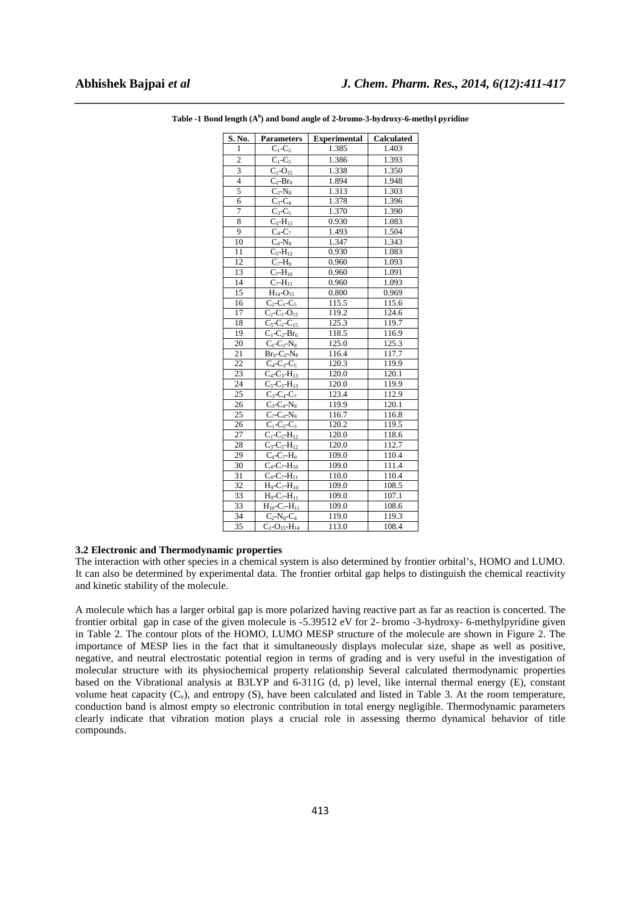| S. No.                  | <b>Parameters</b>                                 | <b>Experimental</b> | Calculated |
|-------------------------|---------------------------------------------------|---------------------|------------|
| $\mathbf{1}$            | $C_1-C_2$                                         | 1.385               | 1.403      |
| $\overline{2}$          | $C_1$ - $C_5$                                     | 1.386               | 1.393      |
| $\overline{\mathbf{3}}$ | $\overline{C_1}$ -O <sub>15</sub>                 | 1.338               | 1.350      |
| $\overline{\mathbf{4}}$ | $C_2-Br_6$                                        | 1.894               | 1.948      |
| 5                       | $C_2-N_8$                                         | 1.313               | 1.303      |
| 6                       | $C_3-C_4$                                         | 1.378               | 1.396      |
| 7                       | $C_3-C_5$                                         | 1.370               | 1.390      |
| 8                       | $C_3 - H_{13}$                                    | 0.930               | 1.083      |
| 9                       | $C_4$ - $C_7$                                     | 1.493               | 1.504      |
| 10                      | $C_4-N_8$                                         | 1.347               | 1.343      |
| 11                      | $C_5 - H_{12}$                                    | 0.930               | 1.083      |
| 12                      | $\overline{C_7-H_9}$                              | 0.960               | 1.093      |
| 13                      | $C_7 - H_{10}$                                    | 0.960               | 1.091      |
| 14                      | $\overline{C_7}$ -H <sub>11</sub>                 | 0.960               | 1.093      |
| 15                      | $H_{14} - O_{15}$                                 | 0.800               | 0.969      |
| 16                      | $\overline{C}_2$ -C <sub>1</sub> -C <sub>5</sub>  | 115.5               | 115.6      |
| 17                      | $\overline{C}_2$ -C <sub>1</sub> -O <sub>15</sub> | 119.2               | 124.6      |
| 18                      | $C_5 - C_1 - C_{15}$                              | 125.3               | 119.7      |
| 19                      | $C_1$ - $C_2$ - $Br_6$                            | 118.5               | 116.9      |
| $\overline{20}$         | $C_1$ - $C_2$ - $N_8$                             | 125.0               | 125.3      |
| 21                      | $Br_6-C_2-N_8$                                    | 116.4               | 117.7      |
| 22                      | $\overline{C_4-C_3-C_5}$                          | 120.3               | 119.9      |
| 23                      | $\overline{C_4-C_3}$ - $H_{13}$                   | 120.0               | 120.1      |
| $\overline{24}$         | $C_5 - C_3 - H_{13}$                              | 120.0               | 119.9      |
| $\overline{25}$         | $\overline{C_3-C_4-C_7}$                          | 123.4               | 112.9      |
| 26                      | $C_3 - C_4 - N_8$                                 | 119.9               | 120.1      |
| 25                      | $C_7 - C_4 - N_8$                                 | 116.7               | 116.8      |
| 26                      | $C_1$ -C <sub>5</sub> -C <sub>3</sub>             | 120.2               | 119.5      |
| 27                      | $C_1$ - $C_5$ - $H_{12}$                          | 120.0               | 118.6      |
| 28                      | $C_3 - C_5 - H_{12}$                              | 120.0               | 112.7      |
| 29                      | $C_4$ - $C_7$ - $H_9$                             | 109.0               | 110.4      |
| 30                      | $C_4 - C_7 - H_{10}$                              | 109.0               | 111.4      |
| 31                      | $\overline{C}_4$ - $C_7$ - $H_{11}$               | 110.0               | 110.4      |
| 32                      | $H_9 - C_7 - H_{10}$                              | 109.0               | 108.5      |
| 33                      | $H_9 - C_7 - H_{11}$                              | 109.0               | 107.1      |
| 33                      | $H_{10}$ -C <sub>7</sub> -H <sub>11</sub>         | 109.0               | 108.6      |
| 34                      | $C_2$ -N <sub>8</sub> - $C_4$                     | 119.0               | 119.3      |
| 35                      | $C_1$ -O <sub>15</sub> -H <sub>14</sub>           | 113.0               | 108.4      |

*\_\_\_\_\_\_\_\_\_\_\_\_\_\_\_\_\_\_\_\_\_\_\_\_\_\_\_\_\_\_\_\_\_\_\_\_\_\_\_\_\_\_\_\_\_\_\_\_\_\_\_\_\_\_\_\_\_\_\_\_\_\_\_\_\_\_\_\_\_\_\_\_\_\_\_\_\_\_* **Table -1 Bond length (A<sup>0</sup> ) and bond angle of 2-bromo-3-hydroxy-6-methyl pyridine** 

#### **3.2 Electronic and Thermodynamic properties**

The interaction with other species in a chemical system is also determined by frontier orbital's, HOMO and LUMO. It can also be determined by experimental data. The frontier orbital gap helps to distinguish the chemical reactivity and kinetic stability of the molecule.

A molecule which has a larger orbital gap is more polarized having reactive part as far as reaction is concerted. The frontier orbital gap in case of the given molecule is -5.39512 eV for 2- bromo -3-hydroxy- 6-methylpyridine given in Table 2. The contour plots of the HOMO, LUMO MESP structure of the molecule are shown in Figure 2. The importance of MESP lies in the fact that it simultaneously displays molecular size, shape as well as positive, negative, and neutral electrostatic potential region in terms of grading and is very useful in the investigation of molecular structure with its physiochemical property relationship Several calculated thermodynamic properties based on the Vibrational analysis at B3LYP and 6-311G (d, p) level, like internal thermal energy (E), constant volume heat capacity  $(C_v)$ , and entropy  $(S)$ , have been calculated and listed in Table 3. At the room temperature, conduction band is almost empty so electronic contribution in total energy negligible. Thermodynamic parameters clearly indicate that vibration motion plays a crucial role in assessing thermo dynamical behavior of title compounds.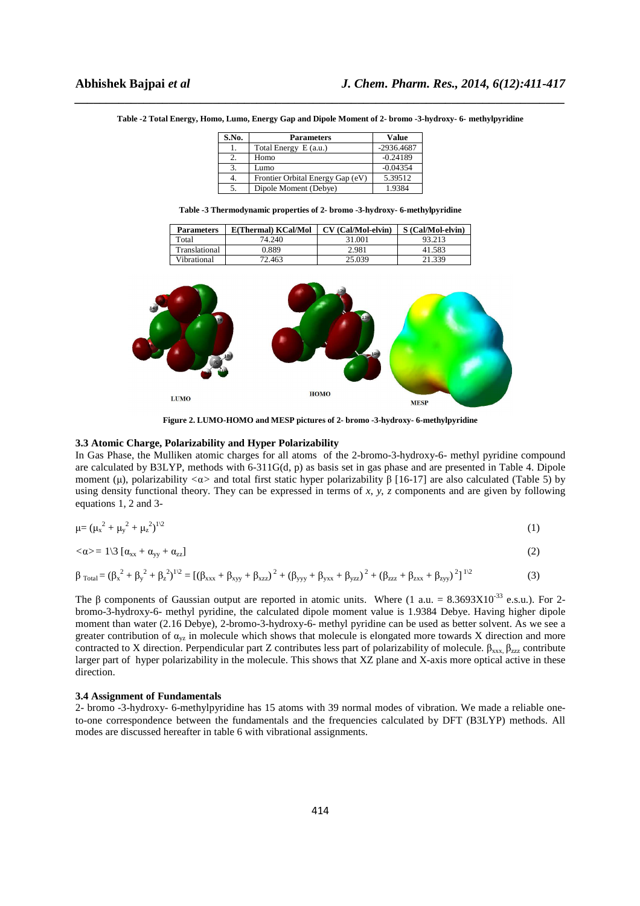| S.No. | <b>Parameters</b>                | Value        |
|-------|----------------------------------|--------------|
| 1.    | Total Energy E (a.u.)            | $-2936.4687$ |
| 2.    | Homo                             | $-0.24189$   |
| 3.    | Lumo                             | $-0.04354$   |
| 4.    | Frontier Orbital Energy Gap (eV) | 5.39512      |
| 5.    | Dipole Moment (Debye)            | 1.9384       |

*\_\_\_\_\_\_\_\_\_\_\_\_\_\_\_\_\_\_\_\_\_\_\_\_\_\_\_\_\_\_\_\_\_\_\_\_\_\_\_\_\_\_\_\_\_\_\_\_\_\_\_\_\_\_\_\_\_\_\_\_\_\_\_\_\_\_\_\_\_\_\_\_\_\_\_\_\_\_* **Table -2 Total Energy, Homo, Lumo, Energy Gap and Dipole Moment of 2- bromo -3-hydroxy- 6- methylpyridine** 

**Table -3 Thermodynamic properties of 2- bromo -3-hydroxy- 6-methylpyridine** 

| <b>Parameters</b> | E(Thermal) KCal/Mol | CV (Cal/Mol-elvin) | S (Cal/Mol-elvin) |
|-------------------|---------------------|--------------------|-------------------|
| Total             | 74.240              | 31.001             | 93.213            |
| Translational     | 0.889               | 2.981              | 41.583            |
| Vibrational       | 72.463              | 25.039             | 21.339            |



**Figure 2. LUMO-HOMO and MESP pictures of 2- bromo -3-hydroxy- 6-methylpyridine** 

#### **3.3 Atomic Charge, Polarizability and Hyper Polarizability**

In Gas Phase, the Mulliken atomic charges for all atoms of the 2-bromo-3-hydroxy-6- methyl pyridine compound are calculated by B3LYP, methods with 6-311G(d, p) as basis set in gas phase and are presented in Table 4. Dipole moment (µ), polarizability *<*α*>* and total first static hyper polarizability β [16-17] are also calculated (Table 5) by using density functional theory. They can be expressed in terms of *x*, *y*, *z* components and are given by following equations 1, 2 and 3-

$$
\mu = (\mu_x^2 + \mu_y^2 + \mu_z^2)^{1/2} \tag{1}
$$

$$
\langle \alpha \rangle = 1 \langle 3 \left[ \alpha_{xx} + \alpha_{yy} + \alpha_{zz} \right] \tag{2}
$$

$$
\beta_{\text{Total}} = (\beta_x^2 + \beta_y^2 + \beta_z^2)^{1/2} = [(\beta_{xxx} + \beta_{xyy} + \beta_{xzz})^2 + (\beta_{yyy} + \beta_{yxx} + \beta_{yzz})^2 + (\beta_{zzz} + \beta_{zxx} + \beta_{zyy})^2]^{1/2}
$$
(3)

The  $\beta$  components of Gaussian output are reported in atomic units. Where (1 a.u. = 8.3693X10<sup>-33</sup> e.s.u.). For 2bromo-3-hydroxy-6- methyl pyridine, the calculated dipole moment value is 1.9384 Debye. Having higher dipole moment than water (2.16 Debye), 2-bromo-3-hydroxy-6- methyl pyridine can be used as better solvent. As we see a greater contribution of  $\alpha_{vz}$  in molecule which shows that molecule is elongated more towards X direction and more contracted to X direction. Perpendicular part Z contributes less part of polarizability of molecule.  $β_{xxx}$ ,  $β_{zzz}$  contribute larger part of hyper polarizability in the molecule. This shows that XZ plane and X-axis more optical active in these direction.

#### **3.4 Assignment of Fundamentals**

2- bromo -3-hydroxy- 6-methylpyridine has 15 atoms with 39 normal modes of vibration. We made a reliable oneto-one correspondence between the fundamentals and the frequencies calculated by DFT (B3LYP) methods. All modes are discussed hereafter in table 6 with vibrational assignments.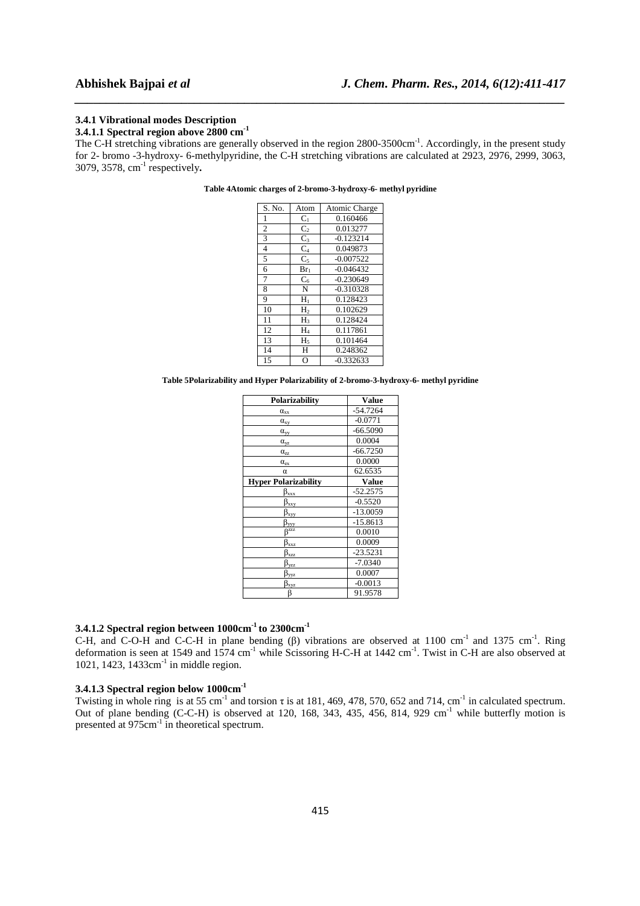#### **3.4.1 Vibrational modes Description**

# **3.4.1.1 Spectral region above 2800 cm-1**

The C-H stretching vibrations are generally observed in the region 2800-3500cm<sup>-1</sup>. Accordingly, in the present study for 2- bromo -3-hydroxy- 6-methylpyridine, the C-H stretching vibrations are calculated at 2923, 2976, 2999, 3063, 3079, 3578, cm-1 respectively**.** 

*\_\_\_\_\_\_\_\_\_\_\_\_\_\_\_\_\_\_\_\_\_\_\_\_\_\_\_\_\_\_\_\_\_\_\_\_\_\_\_\_\_\_\_\_\_\_\_\_\_\_\_\_\_\_\_\_\_\_\_\_\_\_\_\_\_\_\_\_\_\_\_\_\_\_\_\_\_\_*

| S. No.         | Atom           | Atomic Charge |
|----------------|----------------|---------------|
| 1              | $C_1$          | 0.160466      |
| 2              | $C_{2}$        | 0.013277      |
| 3              | $C_3$          | $-0.123214$   |
| $\overline{4}$ | $C_4$          | 0.049873      |
| 5              | $\mathrm{C}_5$ | $-0.007522$   |
| 6              | $Br_1$         | $-0.046432$   |
| 7              | $C_6$          | $-0.230649$   |
| 8              | N              | $-0.310328$   |
| 9              | Н,             | 0.128423      |
| 10             | H,             | 0.102629      |
| 11             | H <sub>3</sub> | 0.128424      |
| 12             | H4             | 0.117861      |
| 13             | $H_5$          | 0.101464      |
| 14             | Н              | 0.248362      |
| 15             | O              | $-0.332633$   |

#### **Table 4Atomic charges of 2-bromo-3-hydroxy-6- methyl pyridine**

**Table 5Polarizability and Hyper Polarizability of 2-bromo-3-hydroxy-6- methyl pyridine** 

| Polarizability                                             | <b>Value</b> |
|------------------------------------------------------------|--------------|
| $\alpha_{xx}$                                              | $-54.7264$   |
| $\alpha_{xy}$                                              | $-0.0771$    |
| $\alpha_{yy}$                                              | $-66.5090$   |
| $\alpha_{yz}$                                              | 0.0004       |
| $\alpha_{zz}$                                              | $-66.7250$   |
| $\alpha_{zx}$                                              | 0.0000       |
| α                                                          | 62.6535      |
| <b>Hyper Polarizability</b>                                | Value        |
| $\beta_{\rm xx\underline{x}}$                              | $-52.2575$   |
| $\beta_{\rm xxy}$                                          | $-0.5520$    |
| $\beta_{xyy}$                                              | $-13.0059$   |
| $\rm{B}_{\rm vvy}$                                         | $-15.8613$   |
| gžž                                                        | 0.0010       |
| $\beta_{\rm xxZ}$                                          | 0.0009       |
| $\beta_{xz\overline{z}}$                                   | $-23.5231$   |
| $\rm{B}_{VZZ}$                                             | $-7.0340$    |
| $\beta_{\text{V}\underline{\text{V}\underline{\text{Z}}}}$ | 0.0007       |
| $\beta_{\rm xyz}$                                          | $-0.0013$    |
| β                                                          | 91.9578      |

#### **3.4.1.2 Spectral region between 1000cm-1 to 2300cm-1**

C-H, and C-O-H and C-C-H in plane bending (β) vibrations are observed at 1100 cm<sup>-1</sup> and 1375 cm<sup>-1</sup>. Ring deformation is seen at 1549 and 1574 cm<sup>-1</sup> while Scissoring H-C-H at 1442 cm<sup>-1</sup>. Twist in C-H are also observed at 1021, 1423, 1433cm<sup>-1</sup> in middle region.

### **3.4.1.3 Spectral region below 1000cm-1**

Twisting in whole ring is at 55 cm<sup>-1</sup> and torsion  $\tau$  is at 181, 469, 478, 570, 652 and 714, cm<sup>-1</sup> in calculated spectrum. Out of plane bending (C-C-H) is observed at 120, 168, 343, 435, 456, 814, 929 cm<sup>-1</sup> while butterfly motion is presented at 975cm-1 in theoretical spectrum.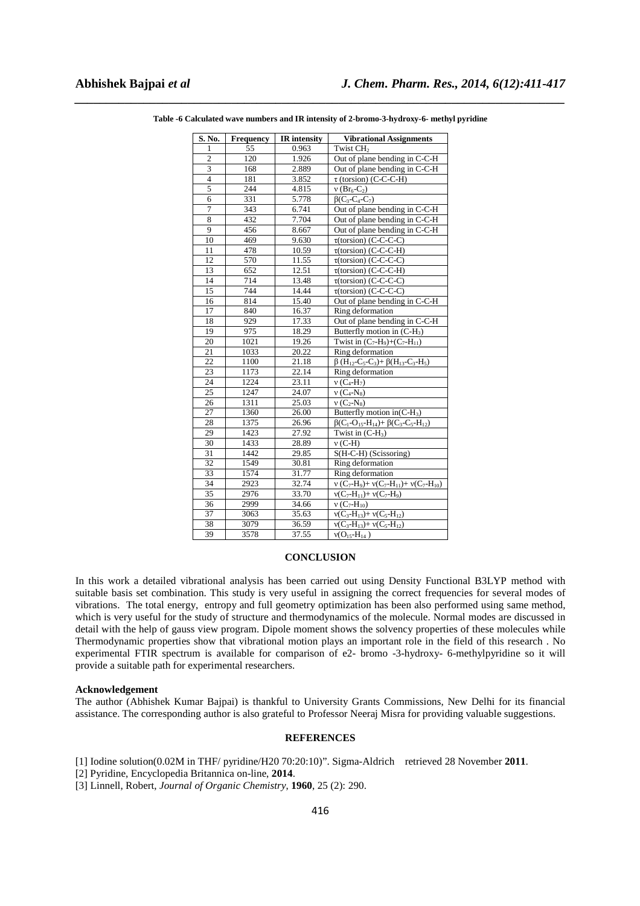| S. No.                  | <b>Frequency</b> | <b>IR</b> intensity | <b>Vibrational Assignments</b>                                                                                          |
|-------------------------|------------------|---------------------|-------------------------------------------------------------------------------------------------------------------------|
| 1                       | 55               | 0.963               | Twist CH <sub>2</sub>                                                                                                   |
| $\overline{c}$          | 120              | 1.926               | Out of plane bending in C-C-H                                                                                           |
| $\overline{\mathbf{3}}$ | 168              | 2.889               | Out of plane bending in C-C-H                                                                                           |
| $\overline{4}$          | 181              | 3.852               | $\tau$ (torsion) (C-C-C-H)                                                                                              |
| 5                       | 244              | 4.815               | $v (Br_6-C_2)$                                                                                                          |
| 6                       | 331              | 5.778               | $\beta$ (C <sub>3</sub> -C <sub>4</sub> -C <sub>7</sub> )                                                               |
| $\overline{7}$          | 343              | 6.741               | Out of plane bending in C-C-H                                                                                           |
| 8                       | 432              | 7.704               | Out of plane bending in C-C-H                                                                                           |
| 9                       | 456              | 8.667               | Out of plane bending in C-C-H                                                                                           |
| 10                      | 469              | 9.630               | $\tau$ (torsion) (C-C-C-C)                                                                                              |
| 11                      | 478              | 10.59               | $\tau$ (torsion) (C-C-C-H)                                                                                              |
| 12                      | 570              | 11.55               | $\tau$ (torsion) (C-C-C-C)                                                                                              |
| 13                      | 652              | 12.51               | $\tau$ (torsion) (C-C-C-H)                                                                                              |
| 14                      | 714              | 13.48               | $\tau$ (torsion) (C-C-C-C)                                                                                              |
| 15                      | 744              | 14.44               | $\overline{\tau}$ (torsion) (C-C-C-C)                                                                                   |
| 16                      | 814              | 15.40               | Out of plane bending in C-C-H                                                                                           |
| 17                      | 840              | 16.37               | Ring deformation                                                                                                        |
| 18                      | 929              | 17.33               | Out of plane bending in C-C-H                                                                                           |
| 19                      | 975              | 18.29               | Butterfly motion in $(C-H_3)$                                                                                           |
| 20                      | 1021             | 19.26               | Twist in $(C_7-H_9)+(C_7-H_{11})$                                                                                       |
| 21                      | 1033             | 20.22               | Ring deformation                                                                                                        |
| 22                      | 1100             | 21.18               | $\beta$ (H <sub>12</sub> -C <sub>5</sub> -C <sub>3</sub> )+ $\beta$ (H <sub>13</sub> -C <sub>3</sub> -H <sub>5</sub> )  |
| $\sqrt{23}$             | 1173             | 22.14               | Ring deformation                                                                                                        |
| 24                      | 1224             | 23.11               | $v(C_4-H_7)$                                                                                                            |
| 25                      | 1247             | 24.07               | $v(C_4-N_8)$                                                                                                            |
| 26                      | 1311             | 25.03               | $v(C_2-N_8)$                                                                                                            |
| 27                      | 1360             | 26.00               | Butterfly motion in $(C-H_3)$                                                                                           |
| 28                      | 1375             | 26.96               | $\beta$ (C <sub>1</sub> -O <sub>15</sub> -H <sub>14</sub> )+ $\beta$ (C <sub>3</sub> -C <sub>5</sub> -H <sub>12</sub> ) |
| 29                      | 1423             | 27.92               | Twist in $(C-H_3)$                                                                                                      |
| 30                      | 1433             | 28.89               | $v$ (C-H)                                                                                                               |
| 31                      | 1442             | 29.85               | S(H-C-H) (Scissoring)                                                                                                   |
| 32                      | 1549             | 30.81               | Ring deformation                                                                                                        |
| 33                      | 1574             | 31.77               | Ring deformation                                                                                                        |
| 34                      | 2923             | 32.74               | $v(C_7-H_9)+v(C_7-H_{11})+v(C_7-H_{10})$                                                                                |
| 35                      | 2976             | 33.70               | $v(C_7-H_{11})+v(C_7-H_9)$                                                                                              |
| 36                      | 2999             | 34.66               | $v(C_7-H_{10})$                                                                                                         |
| 37                      | 3063             | 35.63               | $v(C_3-H_{13})+v(C_5-H_{12})$                                                                                           |
| 38                      | 3079             | 36.59               | $v(C_3-H_{13})+v(C_5-H_{12})$                                                                                           |
| 39                      | 3578             | 37.55               | $v(O_{15} - H_{14})$                                                                                                    |

*\_\_\_\_\_\_\_\_\_\_\_\_\_\_\_\_\_\_\_\_\_\_\_\_\_\_\_\_\_\_\_\_\_\_\_\_\_\_\_\_\_\_\_\_\_\_\_\_\_\_\_\_\_\_\_\_\_\_\_\_\_\_\_\_\_\_\_\_\_\_\_\_\_\_\_\_\_\_* **Table -6 Calculated wave numbers and IR intensity of 2-bromo-3-hydroxy-6- methyl pyridine** 

#### **CONCLUSION**

In this work a detailed vibrational analysis has been carried out using Density Functional B3LYP method with suitable basis set combination. This study is very useful in assigning the correct frequencies for several modes of vibrations. The total energy, entropy and full geometry optimization has been also performed using same method, which is very useful for the study of structure and thermodynamics of the molecule. Normal modes are discussed in detail with the help of gauss view program. Dipole moment shows the solvency properties of these molecules while Thermodynamic properties show that vibrational motion plays an important role in the field of this research . No experimental FTIR spectrum is available for comparison of e2- bromo -3-hydroxy- 6-methylpyridine so it will provide a suitable path for experimental researchers.

#### **Acknowledgement**

The author (Abhishek Kumar Bajpai) is thankful to University Grants Commissions, New Delhi for its financial assistance. The corresponding author is also grateful to Professor Neeraj Misra for providing valuable suggestions.

#### **REFERENCES**

[1] Iodine solution(0.02M in THF/ pyridine/H20 70:20:10)". Sigma-Aldrich retrieved 28 November **2011**.

[2] Pyridine, Encyclopedia Britannica on-line, **2014**.

[3] Linnell, Robert, *Journal of Organic Chemistry*, **1960**, 25 (2): 290.